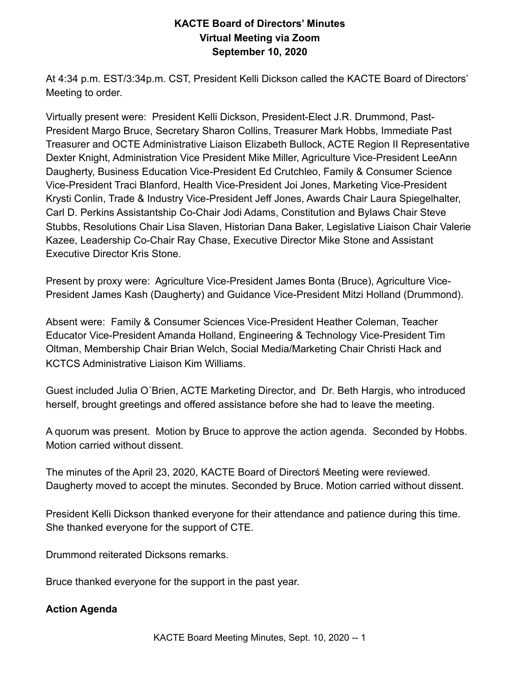# **KACTE Board of Directors' Minutes Virtual Meeting via Zoom September 10, 2020**

At 4:34 p.m. EST/3:34p.m. CST, President Kelli Dickson called the KACTE Board of Directors' Meeting to order.

Virtually present were: President Kelli Dickson, President-Elect J.R. Drummond, Past-President Margo Bruce, Secretary Sharon Collins, Treasurer Mark Hobbs, Immediate Past Treasurer and OCTE Administrative Liaison Elizabeth Bullock, ACTE Region II Representative Dexter Knight, Administration Vice President Mike Miller, Agriculture Vice-President LeeAnn Daugherty, Business Education Vice-President Ed Crutchleo, Family & Consumer Science Vice-President Traci Blanford, Health Vice-President Joi Jones, Marketing Vice-President Krysti Conlin, Trade & Industry Vice-President Jeff Jones, Awards Chair Laura Spiegelhalter, Carl D. Perkins Assistantship Co-Chair Jodi Adams, Constitution and Bylaws Chair Steve Stubbs, Resolutions Chair Lisa Slaven, Historian Dana Baker, Legislative Liaison Chair Valerie Kazee, Leadership Co-Chair Ray Chase, Executive Director Mike Stone and Assistant Executive Director Kris Stone.

Present by proxy were: Agriculture Vice-President James Bonta (Bruce), Agriculture Vice-President James Kash (Daugherty) and Guidance Vice-President Mitzi Holland (Drummond).

Absent were: Family & Consumer Sciences Vice-President Heather Coleman, Teacher Educator Vice-President Amanda Holland, Engineering & Technology Vice-President Tim Oltman, Membership Chair Brian Welch, Social Media/Marketing Chair Christi Hack and KCTCS Administrative Liaison Kim Williams.

Guest included Julia O´Brien, ACTE Marketing Director, and Dr. Beth Hargis, who introduced herself, brought greetings and offered assistance before she had to leave the meeting.

A quorum was present. Motion by Bruce to approve the action agenda. Seconded by Hobbs. Motion carried without dissent.

The minutes of the April 23, 2020, KACTE Board of Directorś Meeting were reviewed. Daugherty moved to accept the minutes. Seconded by Bruce. Motion carried without dissent.

President Kelli Dickson thanked everyone for their attendance and patience during this time. She thanked everyone for the support of CTE.

Drummond reiterated Dicksons remarks.

Bruce thanked everyone for the support in the past year.

#### **Action Agenda**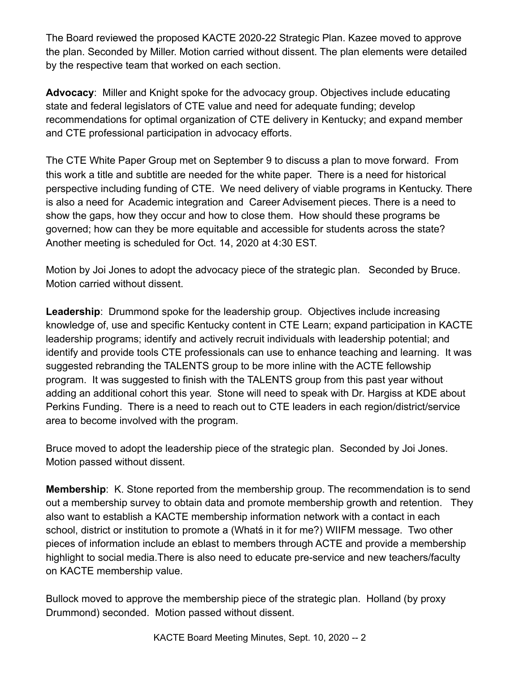The Board reviewed the proposed KACTE 2020-22 Strategic Plan. Kazee moved to approve the plan. Seconded by Miller. Motion carried without dissent. The plan elements were detailed by the respective team that worked on each section.

**Advocacy**: Miller and Knight spoke for the advocacy group. Objectives include educating state and federal legislators of CTE value and need for adequate funding; develop recommendations for optimal organization of CTE delivery in Kentucky; and expand member and CTE professional participation in advocacy efforts.

The CTE White Paper Group met on September 9 to discuss a plan to move forward. From this work a title and subtitle are needed for the white paper. There is a need for historical perspective including funding of CTE. We need delivery of viable programs in Kentucky. There is also a need for Academic integration and Career Advisement pieces. There is a need to show the gaps, how they occur and how to close them. How should these programs be governed; how can they be more equitable and accessible for students across the state? Another meeting is scheduled for Oct. 14, 2020 at 4:30 EST.

Motion by Joi Jones to adopt the advocacy piece of the strategic plan. Seconded by Bruce. Motion carried without dissent.

**Leadership**: Drummond spoke for the leadership group. Objectives include increasing knowledge of, use and specific Kentucky content in CTE Learn; expand participation in KACTE leadership programs; identify and actively recruit individuals with leadership potential; and identify and provide tools CTE professionals can use to enhance teaching and learning. It was suggested rebranding the TALENTS group to be more inline with the ACTE fellowship program. It was suggested to finish with the TALENTS group from this past year without adding an additional cohort this year. Stone will need to speak with Dr. Hargiss at KDE about Perkins Funding. There is a need to reach out to CTE leaders in each region/district/service area to become involved with the program.

Bruce moved to adopt the leadership piece of the strategic plan. Seconded by Joi Jones. Motion passed without dissent.

**Membership**: K. Stone reported from the membership group. The recommendation is to send out a membership survey to obtain data and promote membership growth and retention. They also want to establish a KACTE membership information network with a contact in each school, district or institution to promote a (Whatś in it for me?) WIIFM message. Two other pieces of information include an eblast to members through ACTE and provide a membership highlight to social media.There is also need to educate pre-service and new teachers/faculty on KACTE membership value.

Bullock moved to approve the membership piece of the strategic plan. Holland (by proxy Drummond) seconded. Motion passed without dissent.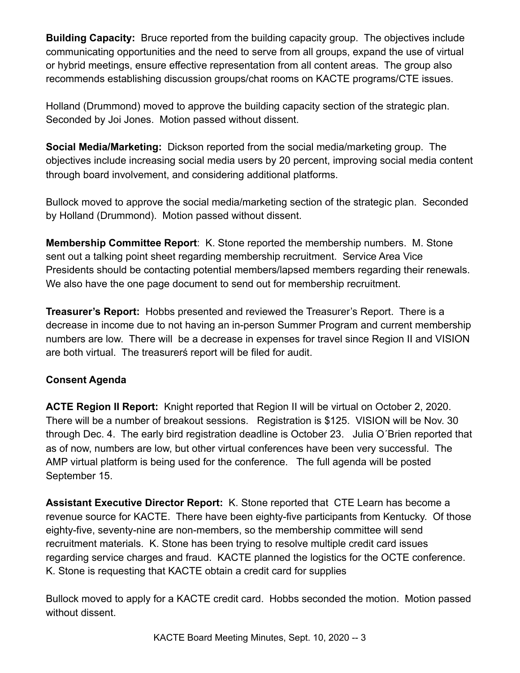**Building Capacity:** Bruce reported from the building capacity group. The objectives include communicating opportunities and the need to serve from all groups, expand the use of virtual or hybrid meetings, ensure effective representation from all content areas. The group also recommends establishing discussion groups/chat rooms on KACTE programs/CTE issues.

Holland (Drummond) moved to approve the building capacity section of the strategic plan. Seconded by Joi Jones. Motion passed without dissent.

**Social Media/Marketing:** Dickson reported from the social media/marketing group. The objectives include increasing social media users by 20 percent, improving social media content through board involvement, and considering additional platforms.

Bullock moved to approve the social media/marketing section of the strategic plan. Seconded by Holland (Drummond). Motion passed without dissent.

**Membership Committee Report**: K. Stone reported the membership numbers. M. Stone sent out a talking point sheet regarding membership recruitment. Service Area Vice Presidents should be contacting potential members/lapsed members regarding their renewals. We also have the one page document to send out for membership recruitment.

**Treasurer's Report:** Hobbs presented and reviewed the Treasurer's Report. There is a decrease in income due to not having an in-person Summer Program and current membership numbers are low. There will be a decrease in expenses for travel since Region II and VISION are both virtual. The treasurerś report will be filed for audit.

## **Consent Agenda**

**ACTE Region II Report:** Knight reported that Region II will be virtual on October 2, 2020. There will be a number of breakout sessions. Registration is \$125. VISION will be Nov. 30 through Dec. 4. The early bird registration deadline is October 23. Julia O´Brien reported that as of now, numbers are low, but other virtual conferences have been very successful. The AMP virtual platform is being used for the conference. The full agenda will be posted September 15.

**Assistant Executive Director Report:** K. Stone reported that CTE Learn has become a revenue source for KACTE. There have been eighty-five participants from Kentucky. Of those eighty-five, seventy-nine are non-members, so the membership committee will send recruitment materials. K. Stone has been trying to resolve multiple credit card issues regarding service charges and fraud. KACTE planned the logistics for the OCTE conference. K. Stone is requesting that KACTE obtain a credit card for supplies

Bullock moved to apply for a KACTE credit card. Hobbs seconded the motion. Motion passed without dissent.